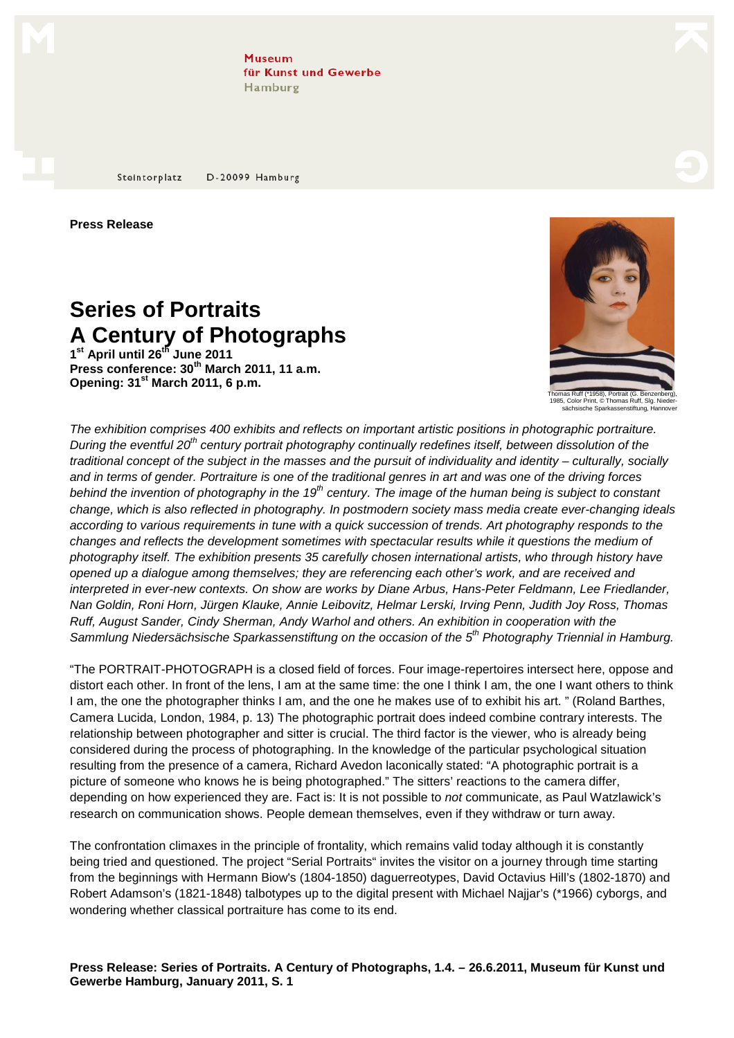**Museum** für Kunst und Gewerbe Hamburg

D-20099 Hamburg Steintorplatz

**Press Release** 

## **Series of Portraits A Century of Photographs**

**1 st April until 26th June 2011 Press conference: 30th March 2011, 11 a.m. Opening: 31st March 2011, 6 p.m.**



1985, Color Print, © Thomas Ruff, Slg. Niedersächsische Sparkassenstiftung, Hannover

The exhibition comprises 400 exhibits and reflects on important artistic positions in photographic portraiture. During the eventful 20<sup>th</sup> century portrait photography continually redefines itself, between dissolution of the traditional concept of the subject in the masses and the pursuit of individuality and identity – culturally, socially and in terms of gender. Portraiture is one of the traditional genres in art and was one of the driving forces behind the invention of photography in the 19<sup>th</sup> century. The image of the human being is subject to constant change, which is also reflected in photography. In postmodern society mass media create ever-changing ideals according to various requirements in tune with a quick succession of trends. Art photography responds to the changes and reflects the development sometimes with spectacular results while it questions the medium of photography itself. The exhibition presents 35 carefully chosen international artists, who through history have opened up a dialogue among themselves; they are referencing each other's work, and are received and interpreted in ever-new contexts. On show are works by Diane Arbus, Hans-Peter Feldmann, Lee Friedlander, Nan Goldin, Roni Horn, Jürgen Klauke, Annie Leibovitz, Helmar Lerski, Irving Penn, Judith Joy Ross, Thomas Ruff, August Sander, Cindy Sherman, Andy Warhol and others. An exhibition in cooperation with the Sammlung Niedersächsische Sparkassenstiftung on the occasion of the 5<sup>th</sup> Photography Triennial in Hamburg.

"The PORTRAIT-PHOTOGRAPH is a closed field of forces. Four image-repertoires intersect here, oppose and distort each other. In front of the lens, I am at the same time: the one I think I am, the one I want others to think I am, the one the photographer thinks I am, and the one he makes use of to exhibit his art. " (Roland Barthes, Camera Lucida, London, 1984, p. 13) The photographic portrait does indeed combine contrary interests. The relationship between photographer and sitter is crucial. The third factor is the viewer, who is already being considered during the process of photographing. In the knowledge of the particular psychological situation resulting from the presence of a camera, Richard Avedon laconically stated: "A photographic portrait is a picture of someone who knows he is being photographed." The sitters' reactions to the camera differ, depending on how experienced they are. Fact is: It is not possible to not communicate, as Paul Watzlawick's research on communication shows. People demean themselves, even if they withdraw or turn away.

The confrontation climaxes in the principle of frontality, which remains valid today although it is constantly being tried and questioned. The project "Serial Portraits" invites the visitor on a journey through time starting from the beginnings with Hermann Biow's (1804-1850) daguerreotypes, David Octavius Hill's (1802-1870) and Robert Adamson's (1821-1848) talbotypes up to the digital present with Michael Najjar's (\*1966) cyborgs, and wondering whether classical portraiture has come to its end.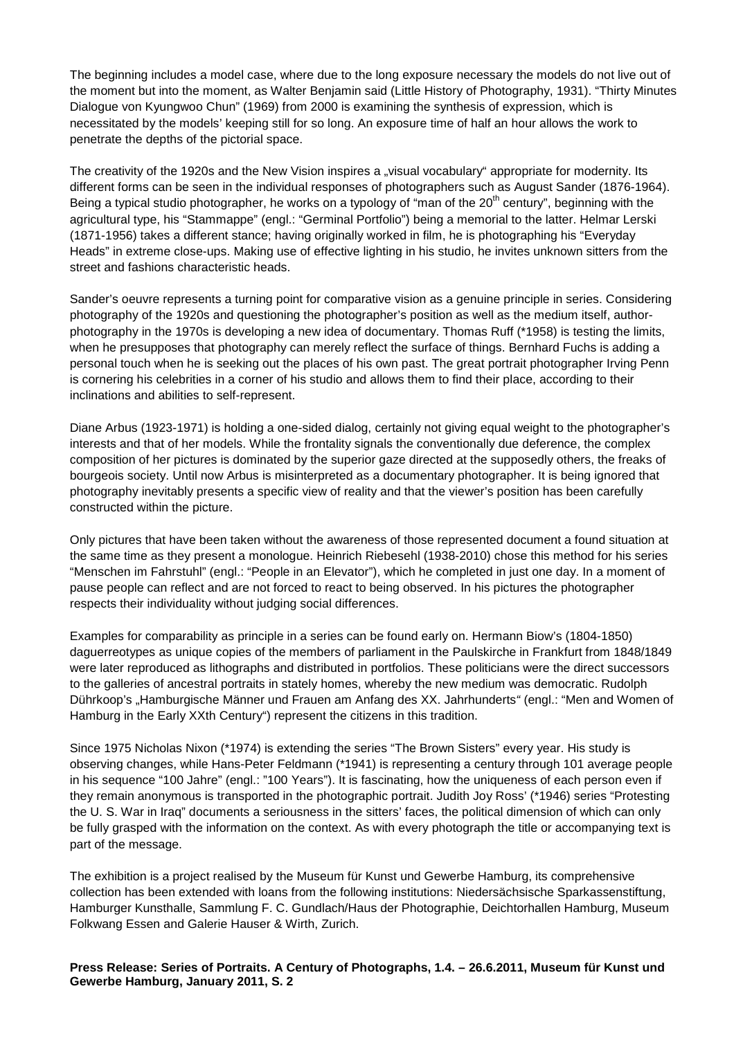The beginning includes a model case, where due to the long exposure necessary the models do not live out of the moment but into the moment, as Walter Benjamin said (Little History of Photography, 1931). "Thirty Minutes Dialogue von Kyungwoo Chun" (1969) from 2000 is examining the synthesis of expression, which is necessitated by the models' keeping still for so long. An exposure time of half an hour allows the work to penetrate the depths of the pictorial space.

The creativity of the 1920s and the New Vision inspires a "visual vocabulary" appropriate for modernity. Its different forms can be seen in the individual responses of photographers such as August Sander (1876-1964). Being a typical studio photographer, he works on a typology of "man of the  $20<sup>th</sup>$  century", beginning with the agricultural type, his "Stammappe" (engl.: "Germinal Portfolio") being a memorial to the latter. Helmar Lerski (1871-1956) takes a different stance; having originally worked in film, he is photographing his "Everyday Heads" in extreme close-ups. Making use of effective lighting in his studio, he invites unknown sitters from the street and fashions characteristic heads.

Sander's oeuvre represents a turning point for comparative vision as a genuine principle in series. Considering photography of the 1920s and questioning the photographer's position as well as the medium itself, authorphotography in the 1970s is developing a new idea of documentary. Thomas Ruff (\*1958) is testing the limits, when he presupposes that photography can merely reflect the surface of things. Bernhard Fuchs is adding a personal touch when he is seeking out the places of his own past. The great portrait photographer Irving Penn is cornering his celebrities in a corner of his studio and allows them to find their place, according to their inclinations and abilities to self-represent.

Diane Arbus (1923-1971) is holding a one-sided dialog, certainly not giving equal weight to the photographer's interests and that of her models. While the frontality signals the conventionally due deference, the complex composition of her pictures is dominated by the superior gaze directed at the supposedly others, the freaks of bourgeois society. Until now Arbus is misinterpreted as a documentary photographer. It is being ignored that photography inevitably presents a specific view of reality and that the viewer's position has been carefully constructed within the picture.

Only pictures that have been taken without the awareness of those represented document a found situation at the same time as they present a monologue. Heinrich Riebesehl (1938-2010) chose this method for his series "Menschen im Fahrstuhl" (engl.: "People in an Elevator"), which he completed in just one day. In a moment of pause people can reflect and are not forced to react to being observed. In his pictures the photographer respects their individuality without judging social differences.

Examples for comparability as principle in a series can be found early on. Hermann Biow's (1804-1850) daguerreotypes as unique copies of the members of parliament in the Paulskirche in Frankfurt from 1848/1849 were later reproduced as lithographs and distributed in portfolios. These politicians were the direct successors to the galleries of ancestral portraits in stately homes, whereby the new medium was democratic. Rudolph Dührkoop's "Hamburgische Männer und Frauen am Anfang des XX. Jahrhunderts" (engl.: "Men and Women of Hamburg in the Early XXth Century") represent the citizens in this tradition.

Since 1975 Nicholas Nixon (\*1974) is extending the series "The Brown Sisters" every year. His study is observing changes, while Hans-Peter Feldmann (\*1941) is representing a century through 101 average people in his sequence "100 Jahre" (engl.: "100 Years"). It is fascinating, how the uniqueness of each person even if they remain anonymous is transported in the photographic portrait. Judith Joy Ross' (\*1946) series "Protesting the U. S. War in Iraq" documents a seriousness in the sitters' faces, the political dimension of which can only be fully grasped with the information on the context. As with every photograph the title or accompanying text is part of the message.

The exhibition is a project realised by the Museum für Kunst und Gewerbe Hamburg, its comprehensive collection has been extended with loans from the following institutions: Niedersächsische Sparkassenstiftung, Hamburger Kunsthalle, Sammlung F. C. Gundlach/Haus der Photographie, Deichtorhallen Hamburg, Museum Folkwang Essen and Galerie Hauser & Wirth, Zurich.